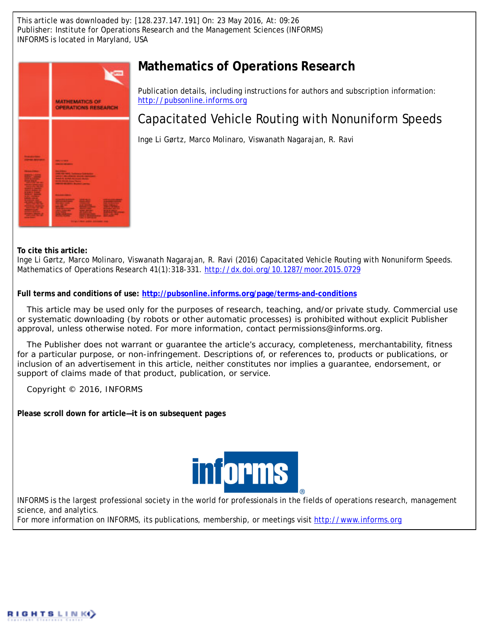This article was downloaded by: [128.237.147.191] On: 23 May 2016, At: 09:26 Publisher: Institute for Operations Research and the Management Sciences (INFORMS) INFORMS is located in Maryland, USA



## **Mathematics of Operations Research**

Publication details, including instructions for authors and subscription information: <http://pubsonline.informs.org>

# Capacitated Vehicle Routing with Nonuniform Speeds

Inge Li Gørtz, Marco Molinaro, Viswanath Nagarajan, R. Ravi

**To cite this article:**

Inge Li Gørtz, Marco Molinaro, Viswanath Nagarajan, R. Ravi (2016) Capacitated Vehicle Routing with Nonuniform Speeds. Mathematics of Operations Research 41(1):318-331. <http://dx.doi.org/10.1287/moor.2015.0729>

**Full terms and conditions of use: <http://pubsonline.informs.org/page/terms-and-conditions>**

This article may be used only for the purposes of research, teaching, and/or private study. Commercial use or systematic downloading (by robots or other automatic processes) is prohibited without explicit Publisher approval, unless otherwise noted. For more information, contact permissions@informs.org.

The Publisher does not warrant or guarantee the article's accuracy, completeness, merchantability, fitness for a particular purpose, or non-infringement. Descriptions of, or references to, products or publications, or inclusion of an advertisement in this article, neither constitutes nor implies a guarantee, endorsement, or support of claims made of that product, publication, or service.

Copyright © 2016, INFORMS

**Please scroll down for article—it is on subsequent pages**



INFORMS is the largest professional society in the world for professionals in the fields of operations research, management science, and analytics.

For more information on INFORMS, its publications, membership, or meetings visit <http://www.informs.org>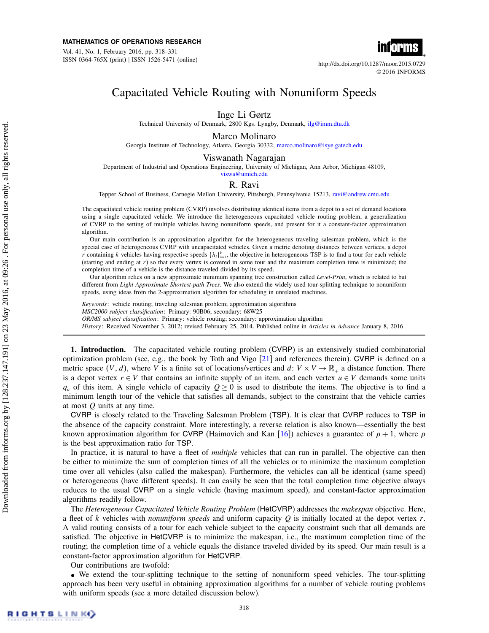Vol. 41, No. 1, February 2016, pp. 318–331 ISSN 0364-765X (print) | ISSN 1526-5471 (online) http://dx.doi.org/10.1287/moor.2015.0729



© 2016 INFORMS

### Capacitated Vehicle Routing with Nonuniform Speeds

Inge Li Gørtz

Technical University of Denmark, 2800 Kgs. Lyngby, Denmark, [ilg@imm.dtu.dk](mailto:ilg@imm.dtu.dk)

Marco Molinaro

Georgia Institute of Technology, Atlanta, Georgia 30332, [marco.molinaro@isye.gatech.edu](mailto:marco.molinaro@isye.gatech.edu)

Viswanath Nagarajan

Department of Industrial and Operations Engineering, University of Michigan, Ann Arbor, Michigan 48109, [viswa@umich.edu](mailto:viswa@umich.edu)

#### R. Ravi

Tepper School of Business, Carnegie Mellon University, Pittsburgh, Pennsylvania 15213, [ravi@andrew.cmu.edu](mailto:ravi@andrew.cmu.edu)

The capacitated vehicle routing problem (CVRP) involves distributing identical items from a depot to a set of demand locations using a single capacitated vehicle. We introduce the heterogeneous capacitated vehicle routing problem, a generalization of CVRP to the setting of multiple vehicles having nonuniform speeds, and present for it a constant-factor approximation algorithm.

Our main contribution is an approximation algorithm for the heterogeneous traveling salesman problem, which is the special case of heterogeneous CVRP with uncapacitated vehicles. Given a metric denoting distances between vertices, a depot r containing k vehicles having respective speeds  $\{\lambda_i\}_{i=1}^k$ , the objective in heterogeneous TSP is to find a tour for each vehicle (starting and ending at  $r$ ) so that every vertex is covered in some tour and the maximum completion time is minimized; the completion time of a vehicle is the distance traveled divided by its speed.

Our algorithm relies on a new approximate minimum spanning tree construction called Level-Prim, which is related to but different from Light Approximate Shortest-path Trees. We also extend the widely used tour-splitting technique to nonuniform speeds, using ideas from the 2-approximation algorithm for scheduling in unrelated machines.

Keywords: vehicle routing; traveling salesman problem; approximation algorithms

MSC2000 subject classification: Primary: 90B06; secondary: 68W25

OR/MS subject classification: Primary: vehicle routing; secondary: approximation algorithm

History: Received November 3, 2012; revised February 25, 2014. Published online in Articles in Advance January 8, 2016.

1. Introduction. The capacitated vehicle routing problem (CVRP) is an extensively studied combinatorial optimization problem (see, e.g., the book by Toth and Vigo [\[21\]](#page-14-0) and references therein). CVRP is defined on a metric space  $(V, d)$ , where V is a finite set of locations/vertices and  $d: V \times V \to \mathbb{R}_+$  a distance function. There is a depot vertex  $r \in V$  that contains an infinite supply of an item, and each vertex  $u \in V$  demands some units  $q_u$  of this item. A single vehicle of capacity  $Q \ge 0$  is used to distribute the items. The objective is to find a minimum length tour of the vehicle that satisfies all demands, subject to the constraint that the vehicle carries at most Q units at any time.

CVRP is closely related to the Traveling Salesman Problem (TSP). It is clear that CVRP reduces to TSP in the absence of the capacity constraint. More interestingly, a reverse relation is also known—essentially the best known approximation algorithm for CVRP (Haimovich and Kan [\[16\]](#page-14-1)) achieves a guarantee of  $\rho + 1$ , where  $\rho$ is the best approximation ratio for TSP.

In practice, it is natural to have a fleet of *multiple* vehicles that can run in parallel. The objective can then be either to minimize the sum of completion times of all the vehicles or to minimize the maximum completion time over all vehicles (also called the makespan). Furthermore, the vehicles can all be identical (same speed) or heterogeneous (have different speeds). It can easily be seen that the total completion time objective always reduces to the usual CVRP on a single vehicle (having maximum speed), and constant-factor approximation algorithms readily follow.

The Heterogeneous Capacitated Vehicle Routing Problem (HetCVRP) addresses the makespan objective. Here, a fleet of k vehicles with *nonuniform speeds* and uniform capacity Q is initially located at the depot vertex r. A valid routing consists of a tour for each vehicle subject to the capacity constraint such that all demands are satisfied. The objective in HetCVRP is to minimize the makespan, i.e., the maximum completion time of the routing; the completion time of a vehicle equals the distance traveled divided by its speed. Our main result is a constant-factor approximation algorithm for HetCVRP.

Our contributions are twofold:

• We extend the tour-splitting technique to the setting of nonuniform speed vehicles. The tour-splitting approach has been very useful in obtaining approximation algorithms for a number of vehicle routing problems with uniform speeds (see a more detailed discussion below).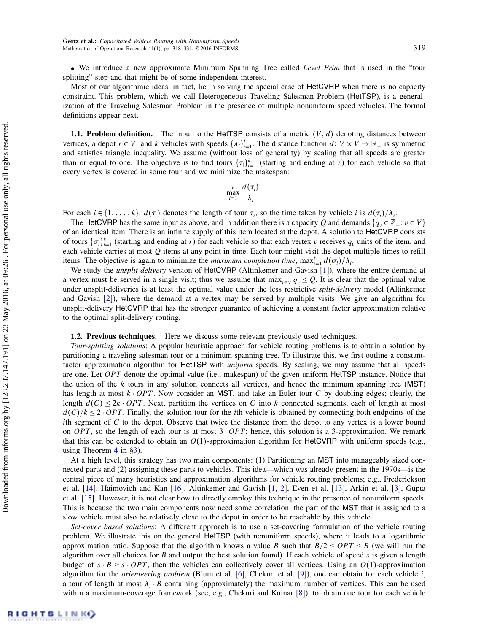• We introduce a new approximate Minimum Spanning Tree called Level Prim that is used in the "tour splitting" step and that might be of some independent interest.

Most of our algorithmic ideas, in fact, lie in solving the special case of HetCVRP when there is no capacity constraint. This problem, which we call Heterogeneous Traveling Salesman Problem (HetTSP), is a generalization of the Traveling Salesman Problem in the presence of multiple nonuniform speed vehicles. The formal definitions appear next.

**1.1. Problem definition.** The input to the HetTSP consists of a metric  $(V, d)$  denoting distances between vertices, a depot  $r \in V$ , and k vehicles with speeds  $\{\lambda_i\}_{i=1}^k$ . The distance function  $d: V \times V \to \mathbb{R}_+$  is symmetric and satisfies triangle inequality. We assume (without loss of generality) by scaling that all speeds are greater than or equal to one. The objective is to find tours  $\{\tau_i\}_{i=1}^k$  (starting and ending at r) for each vehicle so that every vertex is covered in some tour and we minimize the makespan:

$$
\max_{i=1}^k \frac{d(\tau_i)}{\lambda_i}.
$$

For each  $i \in \{1, ..., k\}$ ,  $d(\tau_i)$  denotes the length of tour  $\tau_i$ , so the time taken by vehicle i is  $d(\tau_i)/\lambda_i$ .

The HetCVRP has the same input as above, and in addition there is a capacity Q and demands  $\{q_v \in \mathbb{Z}_+ : v \in V\}$ of an identical item. There is an infinite supply of this item located at the depot. A solution to HetCVRP consists of tours  $\{\sigma_i\}_{i=1}^k$  (starting and ending at r) for each vehicle so that each vertex v receives  $q_v$  units of the item, and each vehicle carries at most Q items at any point in time. Each tour might visit the depot multiple times to refill items. The objective is again to minimize the *maximum completion time*,  $\max_{i=1}^{k} d(\sigma_i)/\lambda_i$ .

We study the *unsplit-delivery* version of HetCVRP (Altinkemer and Gavish [\[1\]](#page-13-0)), where the entire demand at a vertex must be served in a single visit; thus we assume that  $\max_{v \in V} q_v \leq Q$ . It is clear that the optimal value under unsplit-deliveries is at least the optimal value under the less restrictive split-delivery model (Altinkemer and Gavish [\[2\]](#page-13-1)), where the demand at a vertex may be served by multiple visits. We give an algorithm for unsplit-delivery HetCVRP that has the stronger guarantee of achieving a constant factor approximation relative to the optimal split-delivery routing.

#### <span id="page-2-0"></span>1.2. Previous techniques. Here we discuss some relevant previously used techniques.

Tour-splitting solutions: A popular heuristic approach for vehicle routing problems is to obtain a solution by partitioning a traveling salesman tour or a minimum spanning tree. To illustrate this, we first outline a constantfactor approximation algorithm for HetTSP with *uniform* speeds. By scaling, we may assume that all speeds are one. Let OPT denote the optimal value (i.e., makespan) of the given uniform HetTSP instance. Notice that the union of the  $k$  tours in any solution connects all vertices, and hence the minimum spanning tree (MST) has length at most  $k \cdot OPT$ . Now consider an MST, and take an Euler tour C by doubling edges; clearly, the length  $d(C) \leq 2k \cdot OPT$ . Next, partition the vertices on C into k connected segments, each of length at most  $d(C)/k \leq 2 \cdot OPT$ . Finally, the solution tour for the *i*th vehicle is obtained by connecting both endpoints of the ith segment of  $C$  to the depot. Observe that twice the distance from the depot to any vertex is a lower bound on  $OPT$ , so the length of each tour is at most  $3 \cdot OPT$ ; hence, this solution is a 3-approximation. We remark that this can be extended to obtain an  $O(1)$ -approximation algorithm for HetCVRP with uniform speeds (e.g., using Theorem  $4$  in [§3\)](#page-11-1).

At a high level, this strategy has two main components: (1) Partitioning an MST into manageably sized connected parts and (2) assigning these parts to vehicles. This idea—which was already present in the 1970s—is the central piece of many heuristics and approximation algorithms for vehicle routing problems; e.g., Frederickson et al. [\[14\]](#page-14-2), Haimovich and Kan [\[16\]](#page-14-1), Altinkemer and Gavish [\[1,](#page-13-0) [2\]](#page-13-1), Even et al. [\[13\]](#page-14-3), Arkin et al. [\[3\]](#page-13-2), Gupta et al. [\[15\]](#page-14-4). However, it is not clear how to directly employ this technique in the presence of nonuniform speeds. This is because the two main components now need some correlation: the part of the MST that is assigned to a slow vehicle must also be relatively close to the depot in order to be reachable by this vehicle.

Set-cover based solutions: A different approach is to use a set-covering formulation of the vehicle routing problem. We illustrate this on the general HetTSP (with nonuniform speeds), where it leads to a logarithmic approximation ratio. Suppose that the algorithm knows a value B such that  $B/2 \leq OPT \leq B$  (we will run the algorithm over all choices for  $B$  and output the best solution found). If each vehicle of speed  $s$  is given a length budget of  $s \cdot B \geq s \cdot OPT$ , then the vehicles can collectively cover all vertices. Using an  $O(1)$ -approximation algorithm for the *orienteering problem* (Blum et al. [\[6\]](#page-14-5), Chekuri et al. [\[9\]](#page-14-6)), one can obtain for each vehicle *i*, a tour of length at most  $\lambda_i \cdot B$  containing (approximately) the maximum number of vertices. This can be used within a maximum-coverage framework (see, e.g., Chekuri and Kumar [\[8\]](#page-14-7)), to obtain one tour for each vehicle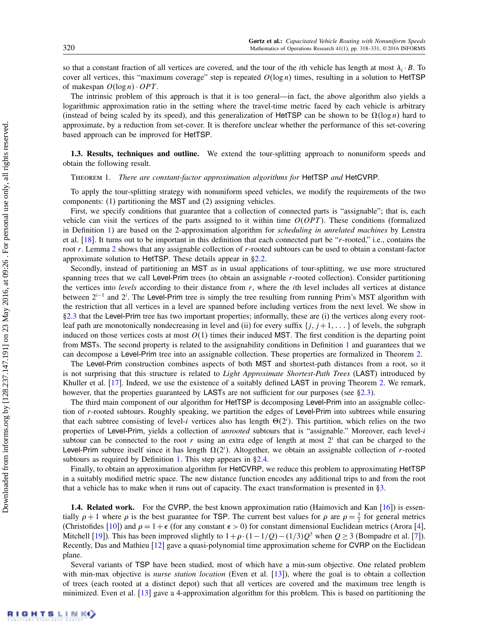so that a constant fraction of all vertices are covered, and the tour of the *i*th vehicle has length at most  $\lambda_i \cdot B$ . To cover all vertices, this "maximum coverage" step is repeated  $O(\log n)$  times, resulting in a solution to HetTSP of makespan  $O(\log n) \cdot OPT$ .

The intrinsic problem of this approach is that it is too general—in fact, the above algorithm also yields a logarithmic approximation ratio in the setting where the travel-time metric faced by each vehicle is arbitrary (instead of being scaled by its speed), and this generalization of HetTSP can be shown to be  $\Omega(\log n)$  hard to approximate, by a reduction from set-cover. It is therefore unclear whether the performance of this set-covering based approach can be improved for HetTSP.

1.3. Results, techniques and outline. We extend the tour-splitting approach to nonuniform speeds and obtain the following result.

<span id="page-3-0"></span>Theorem 1. There are constant-factor approximation algorithms for HetTSP and HetCVRP.

To apply the tour-splitting strategy with nonuniform speed vehicles, we modify the requirements of the two components: (1) partitioning the MST and (2) assigning vehicles.

First, we specify conditions that guarantee that a collection of connected parts is "assignable"; that is, each vehicle can visit the vertices of the parts assigned to it within time  $O(OPT)$ . These conditions (formalized in Definition [1\)](#page-5-0) are based on the 2-approximation algorithm for *scheduling in unrelated machines* by Lenstra et al. [\[18\]](#page-14-8). It turns out to be important in this definition that each connected part be "r-rooted," i.e., contains the root r. Lemma [2](#page-5-1) shows that any assignable collection of r-rooted subtours can be used to obtain a constant-factor approximate solution to HetTSP. These details appear in [§2.2.](#page-5-2)

Secondly, instead of partitioning an MST as in usual applications of tour-splitting, we use more structured spanning trees that we call Level-Prim trees (to obtain an assignable r-rooted collection). Consider partitioning the vertices into *levels* according to their distance from  $r$ , where the *i*th level includes all vertices at distance between 2<sup>*i*-1</sup> and 2<sup>*i*</sup>. The Level-Prim tree is simply the tree resulting from running Prim's MST algorithm with the restriction that all vertices in a level are spanned before including vertices from the next level. We show in [§2.3](#page-6-0) that the Level-Prim tree has two important properties; informally, these are (i) the vertices along every rootleaf path are monotonically nondecreasing in level and (ii) for every suffix  $\{j, j + 1, \ldots\}$  of levels, the subgraph induced on those vertices costs at most  $O(1)$  times their induced MST. The first condition is the departing point from MSTs. The second property is related to the assignability conditions in Definition [1](#page-5-0) and guarantees that we can decompose a Level-Prim tree into an assignable collection. These properties are formalized in Theorem [2.](#page-6-1)

The Level-Prim construction combines aspects of both MST and shortest-path distances from a root, so it is not surprising that this structure is related to Light Approximate Shortest-Path Trees (LAST) introduced by Khuller et al. [\[17\]](#page-14-9). Indeed, we use the existence of a suitably defined LAST in proving Theorem [2.](#page-6-1) We remark, however, that the properties guaranteed by LASTs are not sufficient for our purposes (see [§2.3\)](#page-6-0).

The third main component of our algorithm for HetTSP is decomposing Level-Prim into an assignable collection of r-rooted subtours. Roughly speaking, we partition the edges of Level-Prim into subtrees while ensuring that each subtree consisting of level-i vertices also has length  $\Theta(2^i)$ . This partition, which relies on the two properties of Level-Prim, yields a collection of *unrooted* subtours that is "assignable." Moreover, each level-i subtour can be connected to the root r using an extra edge of length at most  $2<sup>i</sup>$  that can be charged to the Level-Prim subtree itself since it has length  $\Omega(2^i)$ . Altogether, we obtain an assignable collection of r-rooted subtours as required by Definition [1.](#page-5-0) This step appears in [§2.4.](#page-8-0)

Finally, to obtain an approximation algorithm for HetCVRP, we reduce this problem to approximating HetTSP in a suitably modified metric space. The new distance function encodes any additional trips to and from the root that a vehicle has to make when it runs out of capacity. The exact transformation is presented in [§3.](#page-11-1)

**1.4. Related work.** For the CVRP, the best known approximation ratio (Haimovich and Kan [\[16\]](#page-14-1)) is essentially  $\rho + 1$  where  $\rho$  is the best guarantee for TSP. The current best values for  $\rho$  are  $\rho = \frac{3}{2}$  for general metrics (Christofides [\[10\]](#page-14-10)) and  $\rho = 1 + \epsilon$  (for any constant  $\epsilon > 0$ ) for constant dimensional Euclidean metrics (Arora [\[4\]](#page-13-3), Mitchell [\[19\]](#page-14-11)). This has been improved slightly to  $1+\rho \cdot (1-1/Q)-(1/3)Q^3$  when  $Q \ge 3$  (Bompadre et al. [\[7\]](#page-14-12)). Recently, Das and Mathieu [\[12\]](#page-14-13) gave a quasi-polynomial time approximation scheme for CVRP on the Euclidean plane.

Several variants of TSP have been studied, most of which have a min-sum objective. One related problem with min-max objective is *nurse station location* (Even et al. [\[13\]](#page-14-3)), where the goal is to obtain a collection of trees (each rooted at a distinct depot) such that all vertices are covered and the maximum tree length is minimized. Even et al. [\[13\]](#page-14-3) gave a 4-approximation algorithm for this problem. This is based on partitioning the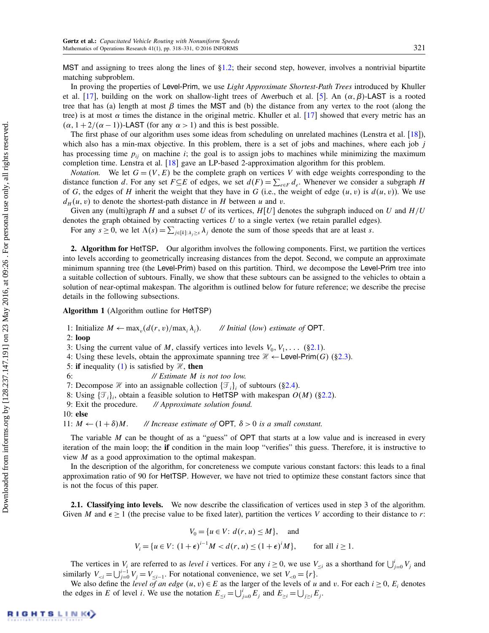MST and assigning to trees along the lines of  $\S1.2$ ; their second step, however, involves a nontrivial bipartite matching subproblem.

In proving the properties of Level-Prim, we use *Light Approximate Shortest-Path Trees* introduced by Khuller et al. [\[17\]](#page-14-9), building on the work on shallow-light trees of Awerbuch et al. [\[5\]](#page-13-4). An  $(\alpha, \beta)$ -LAST is a rooted tree that has (a) length at most  $\beta$  times the MST and (b) the distance from any vertex to the root (along the tree) is at most  $\alpha$  times the distance in the original metric. Khuller et al. [\[17\]](#page-14-9) showed that every metric has an  $(\alpha, 1 + 2/(\alpha - 1))$ -LAST (for any  $\alpha > 1$ ) and this is best possible.

The first phase of our algorithm uses some ideas from scheduling on unrelated machines (Lenstra et al. [\[18\]](#page-14-8)), which also has a min-max objective. In this problem, there is a set of jobs and machines, where each job  $j$ has processing time  $p_{ij}$  on machine i; the goal is to assign jobs to machines while minimizing the maximum completion time. Lenstra et al. [\[18\]](#page-14-8) gave an LP-based 2-approximation algorithm for this problem.

*Notation.* We let  $G = (V, E)$  be the complete graph on vertices V with edge weights corresponding to the distance function d. For any set  $F \subseteq E$  of edges, we set  $d(F) = \sum_{e \in F} d_e$ . Whenever we consider a subgraph H of G, the edges of H inherit the weight that they have in G (i.e., the weight of edge  $(u, v)$  is  $d(u, v)$ ). We use  $d_H(u, v)$  to denote the shortest-path distance in H between u and v.

Given any (multi)graph H and a subset U of its vertices,  $H[U]$  denotes the subgraph induced on U and  $H/U$ denotes the graph obtained by contracting vertices  $U$  to a single vertex (we retain parallel edges).

For any  $s \ge 0$ , we let  $\Lambda(s) = \sum_{j \in [k]: \lambda_j \ge s} \lambda_j$  denote the sum of those speeds that are at least s.

2. Algorithm for HetTSP. Our algorithm involves the following components. First, we partition the vertices into levels according to geometrically increasing distances from the depot. Second, we compute an approximate minimum spanning tree (the Level-Prim) based on this partition. Third, we decompose the Level-Prim tree into a suitable collection of subtours. Finally, we show that these subtours can be assigned to the vehicles to obtain a solution of near-optimal makespan. The algorithm is outlined below for future reference; we describe the precise details in the following subsections.

<span id="page-4-1"></span>Algorithm 1 (Algorithm outline for HetTSP)

1: Initialize *M* ← max<sub>v</sub> $(d(r, v)/\text{max}_i \lambda_i)$  $// Initial (low) estimate of OPT.$ 

2: loop

3: Using the current value of M, classify vertices into levels  $V_0, V_1, \ldots$  ([§2.1\)](#page-4-0).

4: Using these levels, obtain the approximate spanning tree  $\mathcal{H} \leftarrow$  Level-Prim(G) ([§2.3\)](#page-6-0).

5: if inequality [\(1\)](#page-6-2) is satisfied by  $\mathcal{H}$ , then

6: // Estimate M is not too low.

7: Decompose *H* into an assignable collection  $\{\mathcal{T}_i\}_i$  of subtours ([§2.4\)](#page-8-0).

8: Using  $\{\mathcal{T}_i\}_i$ , obtain a feasible solution to HetTSP with makespan  $O(M)$  ([§2.2\)](#page-5-2).

9: Exit the procedure. // Approximate solution found.

10: else

11:  $M \leftarrow (1+\delta)M$ . // Increase estimate of OPT,  $\delta > 0$  is a small constant.

The variable M can be thought of as a "guess" of OPT that starts at a low value and is increased in every iteration of the main loop; the if condition in the main loop "verifies" this guess. Therefore, it is instructive to view M as a good approximation to the optimal makespan.

In the description of the algorithm, for concreteness we compute various constant factors: this leads to a final approximation ratio of 90 for HetTSP. However, we have not tried to optimize these constant factors since that is not the focus of this paper.

<span id="page-4-0"></span>2.1. Classifying into levels. We now describe the classification of vertices used in step 3 of the algorithm. Given M and  $\epsilon \ge 1$  (the precise value to be fixed later), partition the vertices V according to their distance to r:

$$
V_0 = \{ u \in V : d(r, u) \le M \}, \text{ and}
$$
  

$$
V_i = \{ u \in V : (1 + \epsilon)^{i-1} M < d(r, u) \le (1 + \epsilon)^i M \}, \text{ for all } i \ge 1.
$$

The vertices in  $V_i$  are referred to as *level i* vertices. For any  $i \ge 0$ , we use  $V_{\le i}$  as a shorthand for  $\bigcup_{j=0}^{i} V_j$  and similarly  $V_{\le i} = \bigcup_{j=0}^{i-1} V_j = V_{\le i-1}$ . For notational convenience, we set  $V_{\le 0} = \{r\}$ .

We also define the level of an edge  $(u, v) \in E$  as the larger of the levels of u and v. For each  $i \ge 0$ ,  $E_i$  denotes the edges in E of level i. We use the notation  $E_{\leq i} = \bigcup_{j=0}^{i} E_j$  and  $E_{\geq i} = \bigcup_{j \geq i} E_j$ .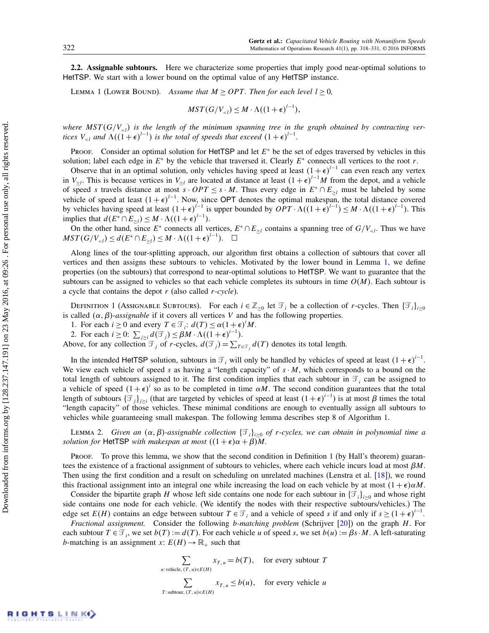<span id="page-5-2"></span>2.2. Assignable subtours. Here we characterize some properties that imply good near-optimal solutions to HetTSP. We start with a lower bound on the optimal value of any HetTSP instance.

<span id="page-5-3"></span>LEMMA 1 (LOWER BOUND). Assume that  $M \geq OPT$ . Then for each level  $l \geq 0$ ,

$$
MST(G/V_{< l}) \leq M \cdot \Lambda((1+\epsilon)^{l-1}),
$$

where  $MST(G/V_{\leq 1})$  is the length of the minimum spanning tree in the graph obtained by contracting vertices  $V_{\le l}$  and  $\Lambda((1+\epsilon)^{l-1})$  is the total of speeds that exceed  $(1+\epsilon)^{l-1}$ .

PROOF. Consider an optimal solution for HetTSP and let  $E^*$  be the set of edges traversed by vehicles in this solution; label each edge in  $E^*$  by the vehicle that traversed it. Clearly  $E^*$  connects all vertices to the root r.

Observe that in an optimal solution, only vehicles having speed at least  $(1 + \epsilon)^{l-1}$  can even reach any vertex in  $V_{\ge l}$ . This is because vertices in  $V_{\ge l}$  are located at distance at least  $(1+\epsilon)^{l-1}M$  from the depot, and a vehicle of speed s travels distance at most  $s \cdot OPT \leq s \cdot M$ . Thus every edge in  $E^* \cap E_{\geq l}$  must be labeled by some vehicle of speed at least  $(1 + \epsilon)^{l-1}$ . Now, since OPT denotes the optimal makespan, the total distance covered by vehicles having speed at least  $(1+\epsilon)^{l-1}$  is upper bounded by  $OPT \cdot \Lambda((1+\epsilon)^{l-1}) \leq M \cdot \Lambda((1+\epsilon)^{l-1})$ . This implies that  $d(E^* \cap E_{\ge l}) \le M \cdot \Lambda((1+\epsilon)^{l-1}).$ 

On the other hand, since  $E^*$  connects all vertices,  $E^* \cap E_{\geq l}$  contains a spanning tree of  $G/V_{\leq l}$ . Thus we have  $MST(G/V_{\le l}) \le d(E^* \cap E_{\ge l}) \le M \cdot \Lambda((1+\epsilon)^{l-1}).$ 

Along lines of the tour-splitting approach, our algorithm first obtains a collection of subtours that cover all vertices and then assigns these subtours to vehicles. Motivated by the lower bound in Lemma [1,](#page-5-3) we define properties (on the subtours) that correspond to near-optimal solutions to HetTSP. We want to guarantee that the subtours can be assigned to vehicles so that each vehicle completes its subtours in time  $O(M)$ . Each subtour is a cycle that contains the depot  $r$  (also called  $r$ -cycle).

<span id="page-5-0"></span>DEFINITION 1 (ASSIGNABLE SUBTOURS). For each  $i \in \mathbb{Z}_{\geq 0}$  let  $\mathcal{T}_i$  be a collection of r-cycles. Then  $\{\mathcal{T}_i\}_{i \geq 0}$ is called  $(\alpha, \beta)$ -assignable if it covers all vertices V and has the following properties.

1. For each  $i \ge 0$  and every  $T \in \mathcal{T}_i$ :  $d(T) \le \alpha (1 + \epsilon)^i M$ .

2. For each  $i \geq 0$ :  $\sum_{j \geq i} d(\mathcal{T}_j) \leq \beta M \cdot \Lambda((1+\epsilon)^{i-1})$ .

Above, for any collection  $\mathcal{T}_j$  of *r*-cycles,  $d(\mathcal{T}_j) = \sum_{T \in \mathcal{T}_j} d(T)$  denotes its total length.

In the intended HetTSP solution, subtours in  $\mathcal{T}_i$  will only be handled by vehicles of speed at least  $(1+\epsilon)^{i-1}$ . We view each vehicle of speed s as having a "length capacity" of  $s \cdot M$ , which corresponds to a bound on the total length of subtours assigned to it. The first condition implies that each subtour in  $\mathcal{T}_i$  can be assigned to a vehicle of speed  $(1+\epsilon)^i$  so as to be completed in time  $\alpha M$ . The second condition guarantees that the total length of subtours  $\{\mathcal{T}_j\}_{j\geq i}$  (that are targeted by vehicles of speed at least  $(1+\epsilon)^{i-1}$ ) is at most  $\beta$  times the total "length capacity" of those vehicles. These minimal conditions are enough to eventually assign all subtours to vehicles while guaranteeing small makespan. The following lemma describes step 8 of Algorithm [1.](#page-4-1)

<span id="page-5-1"></span>LEMMA 2. Given an  $(\alpha, \beta)$ -assignable collection  $\{\mathcal{T}_i\}_{i\geq 0}$  of r-cycles, we can obtain in polynomial time a solution for HetTSP with makespan at most  $((1 + \epsilon)\alpha + \beta)M$ .

Proof. To prove this lemma, we show that the second condition in Definition [1](#page-5-0) (by Hall's theorem) guarantees the existence of a fractional assignment of subtours to vehicles, where each vehicle incurs load at most  $\beta M$ . Then using the first condition and a result on scheduling on unrelated machines (Lenstra et al. [\[18\]](#page-14-8)), we round this fractional assignment into an integral one while increasing the load on each vehicle by at most  $(1+\epsilon)\alpha M$ .

Consider the bipartite graph H whose left side contains one node for each subtour in  $\{\mathcal{T}_i\}_{i\geq 0}$  and whose right side contains one node for each vehicle. (We identify the nodes with their respective subtours/vehicles.) The edge set  $E(H)$  contains an edge between subtour  $T \in \mathcal{T}_i$  and a vehicle of speed s if and only if  $s \ge (1+\epsilon)^{i-1}$ .

Fractional assignment. Consider the following b-matching problem (Schrijver [\[20\]](#page-14-14)) on the graph H. For each subtour  $T \in \mathcal{T}_i$ , we set  $b(T) := d(T)$ . For each vehicle u of speed s, we set  $b(u) := \beta s \cdot M$ . A left-saturating *b*-matching is an assignment x:  $E(H) \rightarrow \mathbb{R}_+$  such that

$$
\sum_{u:\text{ vehicle, } (T, u) \in E(H)} x_{T, u} = b(T), \quad \text{for every subtour } T
$$
  

$$
\sum_{x_{T, u} \le b(u), \quad \text{for every vehicle } u
$$

T: subtour,  $(T, u) \in E(H)$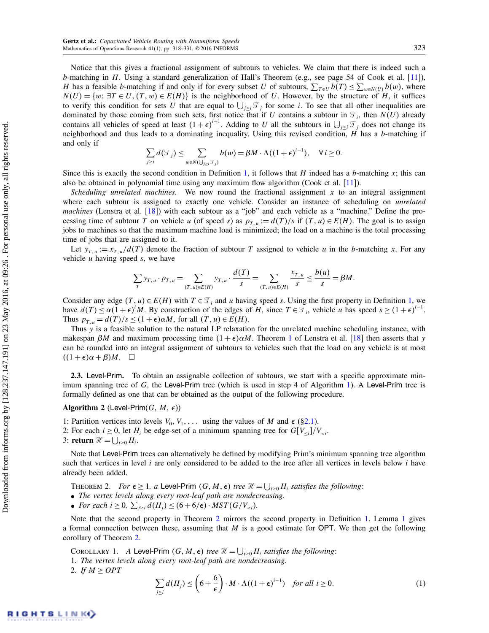Notice that this gives a fractional assignment of subtours to vehicles. We claim that there is indeed such a b-matching in H. Using a standard generalization of Hall's Theorem (e.g., see page 54 of Cook et al.  $[11]$ ), H has a feasible b-matching if and only if for every subset U of subtours,  $\sum_{T \in U} b(T) \le \sum_{w \in N(U)} b(w)$ , where  $N(U) = \{w: \exists T \in U, (T, w) \in E(H)\}\$ is the neighborhood of U. However, by the structure of H, it suffices to verify this condition for sets U that are equal to  $\bigcup_{j\geq i} \mathcal{T}_j$  for some i. To see that all other inequalities are dominated by those coming from such sets, first notice that if U contains a subtour in  $\mathcal{T}_i$ , then  $N(U)$  already contains all vehicles of speed at least  $(1+\epsilon)^{i-1}$ . Adding to U all the subtours in  $\bigcup_{j\geq i} \mathcal{T}_j$  does not change its neighborhood and thus leads to a dominating inequality. Using this revised condition,  $H$  has a b-matching if and only if

$$
\sum_{j\geq i}d(\mathcal{T}_j)\leq \sum_{w\in N(\bigcup_{j\geq i}\mathcal{T}_j)}b(w)=\beta M\cdot\Lambda((1+\epsilon)^{i-1}),\quad\forall\,i\geq 0.
$$

Since this is exactly the second condition in Definition [1,](#page-5-0) it follows that H indeed has a b-matching x; this can also be obtained in polynomial time using any maximum flow algorithm (Cook et al. [\[11\]](#page-14-15)).

Scheduling unrelated machines. We now round the fractional assignment  $x$  to an integral assignment where each subtour is assigned to exactly one vehicle. Consider an instance of scheduling on *unrelated* machines (Lenstra et al. [\[18\]](#page-14-8)) with each subtour as a "job" and each vehicle as a "machine." Define the processing time of subtour T on vehicle u (of speed s) as  $p_{T,u} := d(T)/s$  if  $(T, u) \in E(H)$ . The goal is to assign jobs to machines so that the maximum machine load is minimized; the load on a machine is the total processing time of jobs that are assigned to it.

Let  $y_{T,u} := x_{T,u}/d(T)$  denote the fraction of subtour T assigned to vehicle u in the b-matching x. For any vehicle  $u$  having speed  $s$ , we have

$$
\sum_{T} y_{T,u} \cdot p_{T,u} = \sum_{(T,u) \in E(H)} y_{T,u} \cdot \frac{d(T)}{s} = \sum_{(T,u) \in E(H)} \frac{x_{T,u}}{s} \le \frac{b(u)}{s} = \beta M.
$$

Consider any edge  $(T, u) \in E(H)$  with  $T \in \mathcal{T}_i$  and u having speed s. Using the first property in Definition [1,](#page-5-0) we have  $d(T) \le \alpha(1+\epsilon)^{i}M$ . By construction of the edges of H, since  $T \in \mathcal{T}_i$ , vehicle u has speed  $s \ge (1+\epsilon)^{i-1}$ . Thus  $p_{T,u} = d(T)/s \leq (1+\epsilon)\alpha M$ , for all  $(T, u) \in E(H)$ .

Thus y is a feasible solution to the natural LP relaxation for the unrelated machine scheduling instance, with makespan  $\beta M$  and maximum processing time  $(1+\epsilon)\alpha M$  $(1+\epsilon)\alpha M$  $(1+\epsilon)\alpha M$ . Theorem 1 of Lenstra et al. [\[18\]](#page-14-8) then asserts that y can be rounded into an integral assignment of subtours to vehicles such that the load on any vehicle is at most  $((1 + \epsilon)\alpha + \beta)M$ .  $\Box$ 

<span id="page-6-0"></span>2.3. Level-Prim. To obtain an assignable collection of subtours, we start with a specific approximate min-imum spanning tree of G, the Level-Prim tree (which is used in step 4 of Algorithm [1\)](#page-4-1). A Level-Prim tree is formally defined as one that can be obtained as the output of the following procedure.

#### Algorithm 2 (Level-Prim(G,  $M$ ,  $\epsilon$ ))

- 1: Partition vertices into levels  $V_0, V_1, \ldots$  using the values of M and  $\epsilon$  ([§2.1\)](#page-4-0).
- 2: For each  $i \ge 0$ , let  $H_i$  be edge-set of a minimum spanning tree for  $G[V_{\le i}]/V_{\le i}$ .
- 3: return  $\mathcal{H} = \bigcup_{i \geq 0} H_i$ .

Note that Level-Prim trees can alternatively be defined by modifying Prim's minimum spanning tree algorithm such that vertices in level  $i$  are only considered to be added to the tree after all vertices in levels below  $i$  have already been added.

<span id="page-6-1"></span>THEOREM 2. For  $\epsilon \geq 1$ , a Level-Prim  $(G, M, \epsilon)$  tree  $\mathcal{H} = \bigcup_{i \geq 0} H_i$  satisfies the following:

- The vertex levels along every root-leaf path are nondecreasing.
- For each  $i \geq 0$ ,  $\sum_{j \geq i} d(H_j) \leq (6+6/\epsilon) \cdot MST(G/V_{\leq i})$ .

Note that the second property in Theorem [2](#page-6-1) mirrors the second property in Definition [1.](#page-5-0) Lemma [1](#page-5-3) gives a formal connection between these, assuming that  $M$  is a good estimate for OPT. We then get the following corollary of Theorem [2.](#page-6-1)

<span id="page-6-3"></span>COROLLARY 1. A Level-Prim  $(G, M, \epsilon)$  tree  $\mathcal{H} = \bigcup_{i \geq 0} H_i$  satisfies the following:

- 1. The vertex levels along every root-leaf path are nondecreasing.
- 2. If  $M \geq OPT$

<span id="page-6-2"></span>
$$
\sum_{j\geq i} d(H_j) \leq \left(6 + \frac{6}{\epsilon}\right) \cdot M \cdot \Lambda((1+\epsilon)^{i-1}) \quad \text{for all } i \geq 0. \tag{1}
$$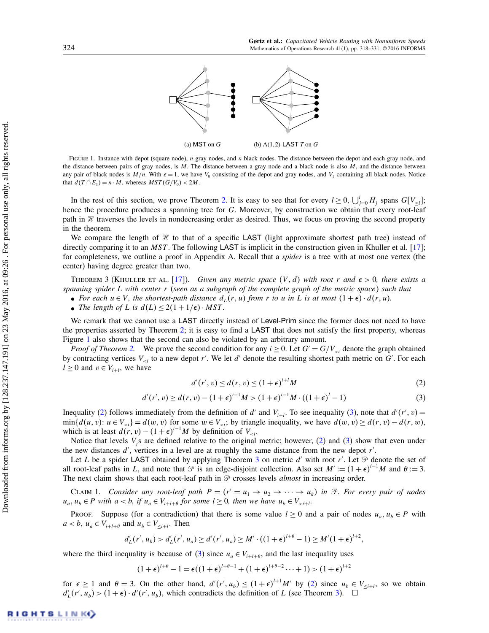

<span id="page-7-0"></span>FIGURE 1. Instance with depot (square node), n gray nodes, and n black nodes. The distance between the depot and each gray node, and the distance between pairs of gray nodes, is  $M$ . The distance between a gray node and a black node is also  $M$ , and the distance between any pair of black nodes is  $M/n$ . With  $\epsilon = 1$ , we have  $V_0$  consisting of the depot and gray nodes, and  $V_1$  containing all black nodes. Notice that  $d(T \cap E_1) = n \cdot M$ , whereas  $MST(G/V_0) < 2M$ .

In the rest of this section, we prove Theorem [2.](#page-6-1) It is easy to see that for every  $l \ge 0$ ,  $\bigcup_{j=0}^{l} H_j$  spans  $G[V_{\le l}]$ ; hence the procedure produces a spanning tree for G. Moreover, by construction we obtain that every root-leaf path in  $H$  traverses the levels in nondecreasing order as desired. Thus, we focus on proving the second property in the theorem.

We compare the length of  $H$  to that of a specific LAST (light approximate shortest path tree) instead of directly comparing it to an *MST*. The following LAST is implicit in the construction given in Khuller et al. [\[17\]](#page-14-9); for completeness, we outline a proof in Appendix A. Recall that a *spider* is a tree with at most one vertex (the center) having degree greater than two.

<span id="page-7-3"></span>THEOREM 3 (KHULLER ET AL. [\[17\]](#page-14-9)). Given any metric space  $(V, d)$  with root r and  $\epsilon > 0$ , there exists a spanning spider L with center r (seen as a subgraph of the complete graph of the metric space) such that

- For each  $u \in V$ , the shortest-path distance  $d_L(r, u)$  from r to u in L is at most  $(1+\epsilon) \cdot d(r, u)$ .
- The length of L is  $d(L) \leq 2(1 + 1/\epsilon) \cdot MST$ .

We remark that we cannot use a LAST directly instead of Level-Prim since the former does not need to have the properties asserted by Theorem [2;](#page-6-1) it is easy to find a LAST that does not satisfy the first property, whereas Figure [1](#page-7-0) also shows that the second can also be violated by an arbitrary amount.

*Proof of Theorem [2.](#page-6-1)* We prove the second condition for any  $i \ge 0$ . Let  $G' = G/V_{\le i}$  denote the graph obtained by contracting vertices  $V_{\leq i}$  to a new depot r'. We let d' denote the resulting shortest path metric on G'. For each  $l \geq 0$  and  $v \in V_{i+l}$ , we have

<span id="page-7-2"></span><span id="page-7-1"></span>
$$
d'(r', v) \le d(r, v) \le (1 + \epsilon)^{i+l} M \tag{2}
$$

$$
d'(r', v) \ge d(r, v) - (1 + \epsilon)^{i-1}M > (1 + \epsilon)^{i-1}M \cdot ((1 + \epsilon)^{i} - 1)
$$
\n(3)

Inequality [\(2\)](#page-7-1) follows immediately from the definition of d' and  $V_{i+l}$ . To see inequality [\(3\)](#page-7-2), note that  $d'(r', v) =$  $\min\{d(u, v): u \in V_{\leq i}\} = d(w, v)$  for some  $w \in V_{\leq i}$ ; by triangle inequality, we have  $d(w, v) \geq d(r, v) - d(r, w)$ , which is at least  $d(r, v) - (1 + \epsilon)^{i-1}M$  by definition of  $V_{\leq i}$ .

Notice that levels  $V_j$ s are defined relative to the original metric; however, [\(2\)](#page-7-1) and [\(3\)](#page-7-2) show that even under the new distances  $d'$ , vertices in a level are at roughly the same distance from the new depot  $r'$ .

Let L be a spider LAST obtained by applying Theorem [3](#page-7-3) on metric  $d'$  with root r'. Let  $\mathcal{P}$  denote the set of all root-leaf paths in L, and note that  $\mathcal{P}$  is an edge-disjoint collection. Also set  $M' := (1 + \epsilon)^{i-1}M$  and  $\theta := 3$ . The next claim shows that each root-leaf path in  $\mathcal P$  crosses levels *almost* in increasing order.

<span id="page-7-4"></span>CLAIM 1. Consider any root-leaf path  $P = (r' = u_1 \rightarrow u_2 \rightarrow \cdots \rightarrow u_k)$  in  $\mathcal{P}$ . For every pair of nodes  $u_a, u_b \in P$  with  $a < b$ , if  $u_a \in V_{i+l+\theta}$  for some  $l \ge 0$ , then we have  $u_b \in V_{>i+l}$ .

PROOF. Suppose (for a contradiction) that there is some value  $l \ge 0$  and a pair of nodes  $u_a, u_b \in P$  with  $a < b$ ,  $u_a \in V_{i+l+\theta}$  and  $u_b \in V_{\leq i+l}$ . Then

$$
d'_{L}(r', u_{b}) > d'_{L}(r', u_{a}) \geq d'(r', u_{a}) \geq M' \cdot ((1 + \epsilon)^{l + \theta} - 1) \geq M'(1 + \epsilon)^{l + 2},
$$

where the third inequality is because of [\(3\)](#page-7-2) since  $u_a \in V_{i+l+\theta}$ , and the last inequality uses

$$
(1+\epsilon)^{l+\theta}-1=\epsilon((1+\epsilon)^{l+\theta-1}+(1+\epsilon)^{l+\theta-2}\cdots+1)>(1+\epsilon)^{l+2}
$$

for  $\epsilon \ge 1$  and  $\theta = 3$ . On the other hand,  $d'(r', u_b) \le (1+\epsilon)^{l+1}M'$  by [\(2\)](#page-7-1) since  $u_b \in V_{\le l+1}$ , so we obtain  $d'_{L}(r', u_{b}) > (1 + \epsilon) \cdot d'(r', u_{b})$ , which contradicts the definition of L (see Theorem [3\)](#page-7-3).  $\square$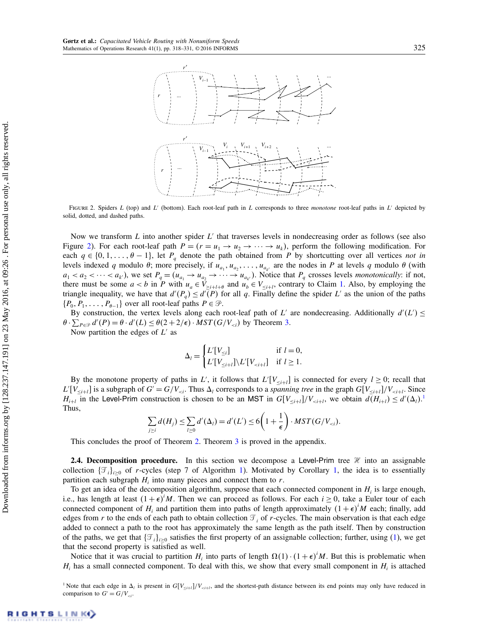

<span id="page-8-1"></span>FIGURE 2. Spiders  $L$  (top) and  $L'$  (bottom). Each root-leaf path in  $L$  corresponds to three *monotone* root-leaf paths in  $L'$  depicted by solid, dotted, and dashed paths.

Now we transform  $L$  into another spider  $L'$  that traverses levels in nondecreasing order as follows (see also Figure [2\)](#page-8-1). For each root-leaf path  $P = (r = u_1 \rightarrow u_2 \rightarrow \cdots \rightarrow u_k)$ , perform the following modification. For each  $q \in \{0, 1, \ldots, \theta - 1\}$ , let  $P_q$  denote the path obtained from P by shortcutting over all vertices not in levels indexed q modulo  $\theta$ ; more precisely, if  $u_{a_1}, u_{a_2}, \ldots, u_{a_{k'}}$  are the nodes in P at levels q modulo  $\theta$  (with  $a_1 < a_2 < \cdots < a_{k'}$ , we set  $P_q = (u_{a_1} \to u_{a_2} \to \cdots \to u_{a_{k'}})$ . Notice that  $P_q$  crosses levels *monotonically*: if not, there must be some  $a < b$  in P with  $u_a \in V_{\geq i+l+\theta}$  and  $u_b \in V_{\leq i+l}$ , contrary to Claim [1.](#page-7-4) Also, by employing the triangle inequality, we have that  $d'(P_q) \leq d'(P)$  for all q. Finally define the spider L' as the union of the paths  $\{P_0, P_1, \ldots, P_{\theta-1}\}$  over all root-leaf paths  $P \in \mathcal{P}$ .

By construction, the vertex levels along each root-leaf path of L' are nondecreasing. Additionally  $d'(L') \leq$  $\theta \cdot \sum_{P \in \mathcal{P}} d'(P) = \theta \cdot d'(L) \leq \theta(2 + 2/\epsilon) \cdot MST(G/V_{\leq i})$  by Theorem [3.](#page-7-3)

Now partition the edges of  $L'$  as

$$
\Delta_l = \begin{cases} L'[V_{\leq i}] & \text{if } l = 0, \\ L'[V_{\leq i+l}]\backslash L'[V_{< i+l}] & \text{if } l \geq 1. \end{cases}
$$

By the monotone property of paths in L', it follows that  $L'[V_{\leq i+l}]$  is connected for every  $l \geq 0$ ; recall that  $L'[V_{\leq i+l}]$  is a subgraph of  $G' = G/V_{\leq i}$ . Thus  $\Delta_l$  corresponds to a spanning tree in the graph  $G[V_{\leq i+l}]/V_{\leq i+l}$ . Since  $H_{i+l}$  in the Level-Prim construction is chosen to be an MST in  $G[V_{\leq i+l}]/V_{\leq i+l}$ , we obtain  $d(H_{i+l}) \leq d'(\Delta_l)$ . Thus,

$$
\sum_{j\geq i} d(H_j) \leq \sum_{l\geq 0} d'(\Delta_l) = d'(L') \leq 6\left(1+\frac{1}{\epsilon}\right) \cdot MST(G/V_{
$$

This concludes the proof of Theorem [2.](#page-6-1) Theorem [3](#page-7-3) is proved in the appendix.

<span id="page-8-0"></span>**2.4. Decomposition procedure.** In this section we decompose a Level-Prim tree  $\mathcal{H}$  into an assignable collection  $\{\mathcal{T}_i\}_{i\geq 0}$  of r-cycles (step 7 of Algorithm [1\)](#page-4-1). Motivated by Corollary [1,](#page-6-3) the idea is to essentially partition each subgraph  $H_i$  into many pieces and connect them to r.

To get an idea of the decomposition algorithm, suppose that each connected component in  $H_i$  is large enough, i.e., has length at least  $(1 + \epsilon)^{t}M$ . Then we can proceed as follows. For each  $i \ge 0$ , take a Euler tour of each connected component of  $H_i$  and partition them into paths of length approximately  $(1 + \epsilon)^i M$  each; finally, add edges from r to the ends of each path to obtain collection  $\mathcal{T}_i$  of r-cycles. The main observation is that each edge added to connect a path to the root has approximately the same length as the path itself. Then by construction of the paths, we get that  $\{\mathcal{T}_i\}_{i\geq 0}$  satisfies the first property of an assignable collection; further, using [\(1\)](#page-6-2), we get that the second property is satisfied as well.

Notice that it was crucial to partition  $H_i$  into parts of length  $\Omega(1) \cdot (1+\epsilon)^i M$ . But this is problematic when  $H_i$  has a small connected component. To deal with this, we show that every small component in  $H_i$  is attached

<span id="page-8-2"></span><sup>&</sup>lt;sup>1</sup> Note that each edge in  $\Delta_l$  is present in  $G[V_{\leq i+l}]/V_{\leq i+l}$ , and the shortest-path distance between its end points may only have reduced in comparison to  $G' = G/V_{\leq i}$ .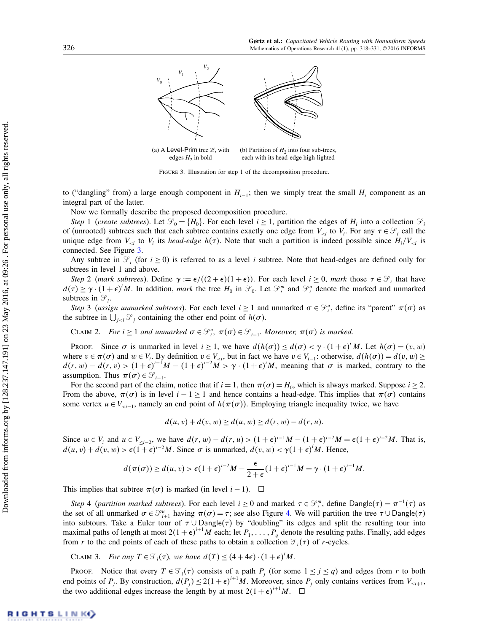

<span id="page-9-0"></span>Figure 3. Illustration for step 1 of the decomposition procedure.

to ("dangling" from) a large enough component in  $H_{i-1}$ ; then we simply treat the small  $H_i$  component as an integral part of the latter.

Now we formally describe the proposed decomposition procedure.

Step 1 (create subtrees). Let  $\mathcal{S}_0 = \{H_0\}$ . For each level  $i \geq 1$ , partition the edges of  $H_i$  into a collection  $\mathcal{S}_i$ of (unrooted) subtrees such that each subtree contains exactly one edge from  $V_{\leq i}$  to  $V_i$ . For any  $\tau \in \mathcal{S}_i$  call the unique edge from  $V_{\leq i}$  to  $V_i$  its *head-edge h(* $\tau$ ). Note that such a partition is indeed possible since  $H_i/V_{\leq i}$  is connected. See Figure [3.](#page-9-0)

Any subtree in  $\mathcal{S}_i$  (for  $i \geq 0$ ) is referred to as a level i subtree. Note that head-edges are defined only for subtrees in level 1 and above.

Step 2 (mark subtrees). Define  $\gamma := \epsilon/((2+\epsilon)(1+\epsilon))$ . For each level  $i \ge 0$ , mark those  $\tau \in \mathcal{S}_i$  that have  $d(\tau) \ge \gamma \cdot (1+\epsilon)^{i}M$ . In addition, mark the tree  $H_0$  in  $\mathcal{S}_0$ . Let  $\mathcal{S}_i^m$  and  $\mathcal{S}_i^u$  denote the marked and unmarked subtrees in  $\mathcal{S}_i$ .

Step 3 (assign unmarked subtrees). For each level  $i \ge 1$  and unmarked  $\sigma \in \mathcal{S}_i^u$ , define its "parent"  $\pi(\sigma)$  as the subtree in  $\bigcup_{j < i} \mathcal{S}_j$  containing the other end point of  $h(\sigma)$ .

CLAIM 2. For  $i \geq 1$  and unmarked  $\sigma \in \mathcal{S}_i^u$ ,  $\pi(\sigma) \in \mathcal{S}_{i-1}$ . Moreover,  $\pi(\sigma)$  is marked.

PROOF. Since  $\sigma$  is unmarked in level  $i \ge 1$ , we have  $d(h(\sigma)) \le d(\sigma) < \gamma \cdot (1+\epsilon)^{i} M$ . Let  $h(\sigma) = (v, w)$ where  $v \in \pi(\sigma)$  and  $w \in V_i$ . By definition  $v \in V_{\leq i}$ , but in fact we have  $v \in V_{i-1}$ : otherwise,  $d(h(\sigma)) = d(v, w) \ge$  $d(r, w) - d(r, v) > (1 + \epsilon)^{i-1}M - (1 + \epsilon)^{i-2}M > \gamma \cdot (1 + \epsilon)^iM$ , meaning that  $\sigma$  is marked, contrary to the assumption. Thus  $\pi(\sigma) \in \mathcal{S}_{i-1}$ .

For the second part of the claim, notice that if  $i = 1$ , then  $\pi(\sigma) = H_0$ , which is always marked. Suppose  $i \ge 2$ . From the above,  $\pi(\sigma)$  is in level  $i - 1 \ge 1$  and hence contains a head-edge. This implies that  $\pi(\sigma)$  contains some vertex *u* ∈  $V_{lt-1}$ , namely an end point of  $h(π(σ))$ . Employing triangle inequality twice, we have

 $d(u, v) + d(v, w) > d(u, w) > d(r, w) - d(r, u).$ 

Since  $w \in V_i$  and  $u \in V_{\leq i-2}$ , we have  $d(r, w) - d(r, u) > (1 + \epsilon)^{i-1}M - (1 + \epsilon)^{i-2}M = \epsilon (1 + \epsilon)^{i-2}M$ . That is,  $d(u, v) + d(v, w) > \epsilon (1 + \epsilon)^{i-2}M$ . Since  $\sigma$  is unmarked,  $d(v, w) < \gamma (1 + \epsilon)^i M$ . Hence,

$$
d(\pi(\sigma)) \ge d(u,v) > \epsilon (1+\epsilon)^{i-2}M - \frac{\epsilon}{2+\epsilon}(1+\epsilon)^{i-1}M = \gamma \cdot (1+\epsilon)^{i-1}M.
$$

This implies that subtree  $\pi(\sigma)$  is marked (in level  $i - 1$ ).  $\Box$ 

Step 4 (partition marked subtrees). For each level  $i \ge 0$  and marked  $\tau \in \mathcal{S}_i^m$ , define Dangle $(\tau) = \pi^{-1}(\tau)$  as the set of all unmarked  $\sigma \in \mathcal{S}_{i+1}^u$  having  $\pi(\sigma) = \tau$ ; see also Figure [4.](#page-10-0) We will partition the tree  $\tau \cup$ Dangle( $\tau$ ) into subtours. Take a Euler tour of  $\tau \cup$  Dangle( $\tau$ ) by "doubling" its edges and split the resulting tour into maximal paths of length at most  $2(1+\epsilon)^{i+1}M$  each; let  $P_1,\ldots,P_q$  denote the resulting paths. Finally, add edges from r to the end points of each of these paths to obtain a collection  $\mathcal{T}_i(\tau)$  of r-cycles.

<span id="page-9-1"></span>CLAIM 3. For any  $T \in \mathcal{T}_i(\tau)$ , we have  $d(T) \leq (4 + 4\epsilon) \cdot (1 + \epsilon)^i M$ .

<span id="page-9-2"></span>PROOF. Notice that every  $T \in \mathcal{T}_i(\tau)$  consists of a path  $P_j$  (for some  $1 \le j \le q$ ) and edges from r to both end points of  $P_j$ . By construction,  $d(P_j) \le 2(1+\epsilon)^{i+1}M$ . Moreover, since  $P_j$  only contains vertices from  $V_{\le i+1}$ , the two additional edges increase the length by at most  $2(1+\epsilon)^{i+1}M$ .  $\Box$ 

Downloaded from informs.org by [128.237.147.191] on 23 May 2016, at 09:26 . For personal use only, all rights reserved. Downloaded from informs.org by [128.237.147.191] on 23 May 2016, at 09:26 . For personal use only, all rights reserved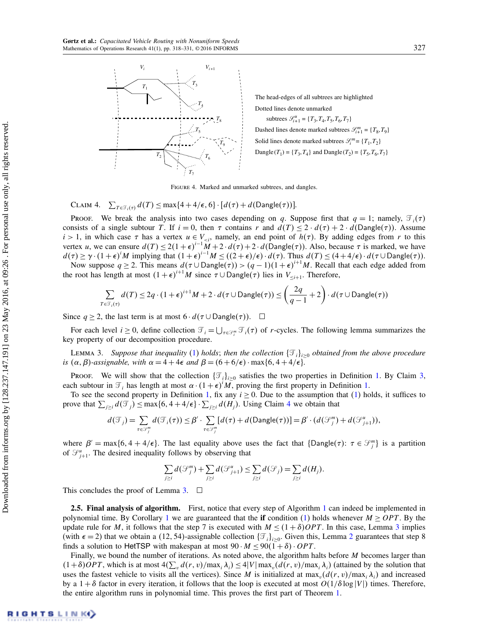

The head-edges of all subtrees are highlighted Dangle(*T*<sub>1</sub>) = {*T*<sub>3</sub>,*T*<sub>4</sub>} and Dangle(*T*<sub>2</sub>) = {*T*<sub>5</sub>,*T*<sub>6</sub>,*T*<sub>7</sub>} Dashed lines denote marked subtrees  $\mathcal{S}_{i+1}^m = \{T_8, T_9\}$ Solid lines denote marked subtrees  $\mathcal{S}_i^m = \{T_1, T_2\}$ subtrees  $\mathcal{S}_{i+1}^{\mu} = \{T_3, T_4, T_5, T_6, T_7\}$ Dotted lines denote unmarked

<span id="page-10-0"></span>FIGURE 4. Marked and unmarked subtrees, and dangles.

CLAIM 4.  $T \in \mathcal{T}_{i}(\tau) d(T) \leq \max\{4 + 4/\epsilon, 6\} \cdot [d(\tau) + d(\mathsf{Dangle}(\tau))].$ 

Proof. We break the analysis into two cases depending on q. Suppose first that  $q = 1$ ; namely,  $\mathcal{T}_i(\tau)$ consists of a single subtour T. If  $i = 0$ , then  $\tau$  contains r and  $d(T) \leq 2 \cdot d(\tau) + 2 \cdot d(\text{Dangle}(\tau))$ . Assume  $i > 1$ , in which case  $\tau$  has a vertex  $u \in V_{\le i}$ , namely, an end point of  $h(\tau)$ . By adding edges from r to this vertex u, we can ensure  $d(T) \leq 2(1+\epsilon)^{i-1}M + 2 \cdot d(\tau) + 2 \cdot d(Dangle(\tau))$ . Also, because  $\tau$  is marked, we have  $d(\tau) \geq \gamma \cdot (1+\epsilon)^{i}M$  implying that  $(1+\epsilon)^{i-1}M \leq ((2+\epsilon)/\epsilon) \cdot d(\tau)$ . Thus  $d(T) \leq (4+4/\epsilon) \cdot d(\tau \cup \text{Dangle}(\tau))$ .

Now suppose  $q \ge 2$ . This means  $d(\tau \cup \text{Dangle}(\tau)) > (q-1)(1+\epsilon)^{i+1}M$ . Recall that each edge added from the root has length at most  $(1 + \epsilon)^{i+1}M$  since  $\tau \cup$  Dangle( $\tau$ ) lies in  $V_{\leq i+1}$ . Therefore,

$$
\sum_{T \in \mathcal{T}_i(\tau)} d(T) \leq 2q \cdot (1+\epsilon)^{i+1} M + 2 \cdot d(\tau \cup \textsf{Dangle}(\tau)) \leq \left(\frac{2q}{q-1} + 2\right) \cdot d(\tau \cup \textsf{Dangle}(\tau))
$$

Since  $q \ge 2$ , the last term is at most  $6 \cdot d(\tau \cup \text{Dangle}(\tau))$ . □

For each level  $i \ge 0$ , define collection  $\mathcal{T}_i = \bigcup_{\tau \in \mathcal{S}_i^m} \mathcal{T}_i(\tau)$  of r-cycles. The following lemma summarizes the key property of our decomposition procedure.

<span id="page-10-1"></span>LEMMA 3. Suppose that inequality [\(1\)](#page-6-2) holds; then the collection  $\{\mathcal{T}_i\}_{i\geq 0}$  obtained from the above procedure is  $(\alpha, \beta)$ -assignable, with  $\alpha = 4 + 4\epsilon$  and  $\beta = (6 + 6/\epsilon) \cdot \max\{6, 4 + 4/\epsilon\}.$ 

Proof. We will show that the collection  $\{\mathcal{T}_i\}_{i\geq 0}$  satisfies the two properties in Definition [1.](#page-5-0) By Claim [3,](#page-9-1) each subtour in  $\mathcal{T}_i$  has length at most  $\alpha \cdot (1 + \epsilon)^i M$ , proving the first property in Definition [1.](#page-5-0)

To see the second property in Definition [1,](#page-5-0) fix any  $i \ge 0$ . Due to the assumption that [\(1\)](#page-6-2) holds, it suffices to prove that  $\sum_{j\geq i} d(\mathcal{T}_j) \leq \max\{6, 4+4/\epsilon\} \cdot \sum_{j\geq i} d(H_j)$  $\sum_{j\geq i} d(\mathcal{T}_j) \leq \max\{6, 4+4/\epsilon\} \cdot \sum_{j\geq i} d(H_j)$  $\sum_{j\geq i} d(\mathcal{T}_j) \leq \max\{6, 4+4/\epsilon\} \cdot \sum_{j\geq i} d(H_j)$ . Using Claim 4 we obtain that

$$
d(\mathcal{T}_j) = \sum_{\tau \in \mathcal{S}_j^m} d(\mathcal{T}_i(\tau)) \leq \beta' \cdot \sum_{\tau \in \mathcal{S}_j^m} [d(\tau) + d(\text{Dangle}(\tau))] = \beta' \cdot (d(\mathcal{S}_j^m) + d(\mathcal{S}_{j+1}^u)),
$$

where  $\beta' = \max\{6, 4 + 4/\epsilon\}$ . The last equality above uses the fact that  $\{\text{Dangle}(\tau): \tau \in \mathcal{S}_{j}^{m}\}\$ is a partition of  $\mathcal{S}_{j+1}^u$ . The desired inequality follows by observing that

$$
\sum_{j\geq i} d(\mathcal{S}_j^m) + \sum_{j\geq i} d(\mathcal{S}_{j+1}^u) \leq \sum_{j\geq i} d(\mathcal{S}_j) = \sum_{j\geq i} d(H_j).
$$

This concludes the proof of Lemma [3.](#page-10-1)  $\Box$ 

2.5. Final analysis of algorithm. First, notice that every step of Algorithm [1](#page-4-1) can indeed be implemented in polynomial time. By Corollary [1](#page-6-3) we are guaranteed that the if condition [\(1\)](#page-6-2) holds whenever  $M \geq OPT$ . By the update rule for M, it follows that the step 7 is executed with  $M \leq (1+\delta)OPT$ . In this case, Lemma [3](#page-10-1) implies (with  $\epsilon = 2$  $\epsilon = 2$ ) that we obtain a (12, 54)-assignable collection  $\{\mathcal{T}_i\}_{i \geq 0}$ . Given this, Lemma 2 guarantees that step 8 finds a solution to HetTSP with makespan at most  $90 \cdot M \le 90(1+\delta) \cdot OPT$ .

Finally, we bound the number of iterations. As noted above, the algorithm halts before M becomes larger than  $(1+\delta)OPT$ , which is at most  $4(\sum_{v} d(r, v)/\max_i \lambda_i) \leq 4|V| \max_{v} (d(r, v)/\max_i \lambda_i)$  (attained by the solution that uses the fastest vehicle to visits all the vertices). Since M is initialized at  $\max_{\nu} (d(r, \nu)/\max_{i} \lambda_i)$  and increased by a  $1+\delta$  factor in every iteration, it follows that the loop is executed at most  $O(1/\delta \log |V|)$  times. Therefore, the entire algorithm runs in polynomial time. This proves the first part of Theorem [1.](#page-3-0)

Downloaded from informs.org by [128.237.147.191] on 23 May 2016, at 09:26 . For personal use only, all rights reserved. Downloaded from informs.org by [128.237.147.191] on 23 May 2016, at 09:26 . For personal use only, all rights reserved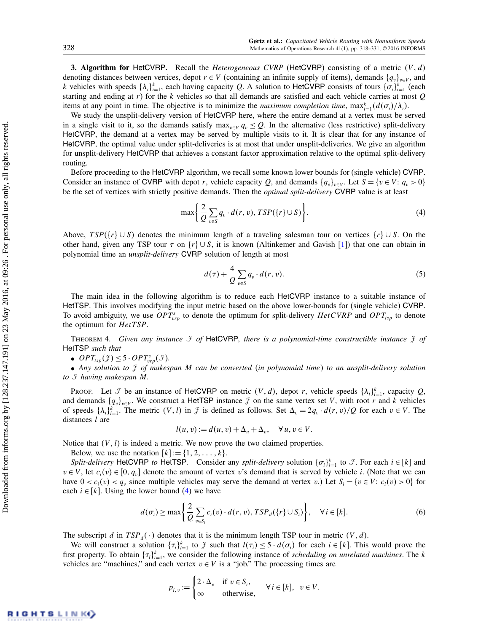<span id="page-11-1"></span>3. Algorithm for HetCVRP. Recall the Heterogeneous CVRP (HetCVRP) consisting of a metric  $(V, d)$ denoting distances between vertices, depot  $r \in V$  (containing an infinite supply of items), demands  $\{q_v\}_{v \in V}$ , and k vehicles with speeds  $\{\lambda_i\}_{i=1}^k$ , each having capacity Q. A solution to HetCVRP consists of tours  $\{\sigma_i\}_{i=1}^k$  (each starting and ending at r) for the  $k$  vehicles so that all demands are satisfied and each vehicle carries at most  $Q$ items at any point in time. The objective is to minimize the *maximum completion time*,  $\max_{i=1}^{k} (d(\sigma_i)/\lambda_i)$ .

We study the unsplit-delivery version of HetCVRP here, where the entire demand at a vertex must be served in a single visit to it, so the demands satisfy  $\max_{v \in V} q_v \leq Q$ . In the alternative (less restrictive) split-delivery HetCVRP, the demand at a vertex may be served by multiple visits to it. It is clear that for any instance of HetCVRP, the optimal value under split-deliveries is at most that under unsplit-deliveries. We give an algorithm for unsplit-delivery HetCVRP that achieves a constant factor approximation relative to the optimal split-delivery routing.

Before proceeding to the HetCVRP algorithm, we recall some known lower bounds for (single vehicle) CVRP. Consider an instance of CVRP with depot r, vehicle capacity Q, and demands  $\{q_v\}_{v\in V}$ . Let  $S = \{v \in V: q_v > 0\}$ be the set of vertices with strictly positive demands. Then the *optimal split-delivery* CVRP value is at least

<span id="page-11-2"></span>
$$
\max\bigg\{\frac{2}{Q}\sum_{v\in S}q_v\cdot d(r,v), TSP(\lbrace r\rbrace\cup S)\bigg\}.\tag{4}
$$

Above,  $TSP({r} \cup S)$  denotes the minimum length of a traveling salesman tour on vertices  ${r} \cup S$ . On the other hand, given any TSP tour  $\tau$  on  $\{r\} \cup S$ , it is known (Altinkemer and Gavish [\[1\]](#page-13-0)) that one can obtain in polynomial time an unsplit-delivery CVRP solution of length at most

<span id="page-11-4"></span>
$$
d(\tau) + \frac{4}{Q} \sum_{v \in S} q_v \cdot d(r, v).
$$
 (5)

The main idea in the following algorithm is to reduce each HetCVRP instance to a suitable instance of HetTSP. This involves modifying the input metric based on the above lower-bounds for (single vehicle) CVRP. To avoid ambiguity, we use  $OPT_{vrp}^s$  to denote the optimum for split-delivery  $HetCVRP$  and  $OPT_{tsp}$  to denote the optimum for  $HetTSP$ .

<span id="page-11-0"></span>THEOREM 4. Given any instance  $\mathcal F$  of HetCVRP, there is a polynomial-time constructible instance  $\mathcal F$  of HetTSP such that

•  $OPT_{tsp}(\mathcal{J}) \leq 5 \cdot OPT_{vrp}(\mathcal{J}).$ 

• Any solution to  $\oint$  of makespan M can be converted (in polynomial time) to an unsplit-delivery solution to  $\mathcal I$  having makespan M.

Proof. Let  $\mathcal F$  be an instance of HetCVRP on metric  $(V, d)$ , depot r, vehicle speeds  $\{\lambda_i\}_{i=1}^k$ , capacity  $Q$ , and demands  $\{q_v\}_{v\in V}$ . We construct a HetTSP instance  $\mathcal J$  on the same vertex set V, with root r and k vehicles of speeds  $\{\lambda_i\}_{i=1}^k$ . The metric  $(V, l)$  in  $\mathcal{J}$  is defined as follows. Set  $\Delta_v = 2q_v \cdot d(r, v)/Q$  for each  $v \in V$ . The distances l are

$$
l(u, v) := d(u, v) + \Delta_u + \Delta_v, \quad \forall u, v \in V.
$$

Notice that  $(V, l)$  is indeed a metric. We now prove the two claimed properties.

Below, we use the notation  $[k] := \{1, 2, \ldots, k\}.$ 

Split-delivery HetCVRP to HetTSP. Consider any split-delivery solution  $\{\sigma_i\}_{i=1}^k$  to  $\mathcal{F}$ . For each  $i \in [k]$  and  $v \in V$ , let  $c_i(v) \in [0, q_v]$  denote the amount of vertex v's demand that is served by vehicle i. (Note that we can have  $0 < c_i(v) < q_v$  since multiple vehicles may serve the demand at vertex v.) Let  $S_i = \{v \in V : c_i(v) > 0\}$  for each  $i \in [k]$ . Using the lower bound [\(4\)](#page-11-2) we have

<span id="page-11-3"></span>
$$
d(\sigma_i) \ge \max\left\{\frac{2}{Q}\sum_{v \in S_i} c_i(v) \cdot d(r, v), TSP_d(\{r\} \cup S_i)\right\}, \quad \forall i \in [k].
$$
 (6)

The subscript d in  $TSP_d(\cdot)$  denotes that it is the minimum length TSP tour in metric  $(V, d)$ .

We will construct a solution  $\{\tau_i\}_{i=1}^k$  to  $\mathcal{J}$  such that  $l(\tau_i) \leq 5 \cdot d(\sigma_i)$  for each  $i \in [k]$ . This would prove the first property. To obtain  $\{\tau_i\}_{i=1}^k$ , we consider the following instance of scheduling on unrelated machines. The k vehicles are "machines," and each vertex  $v \in V$  is a "job." The processing times are

$$
p_{i,v} := \begin{cases} 2 \cdot \Delta_v & \text{if } v \in S_i, \\ \infty & \text{otherwise,} \end{cases} \forall i \in [k], v \in V.
$$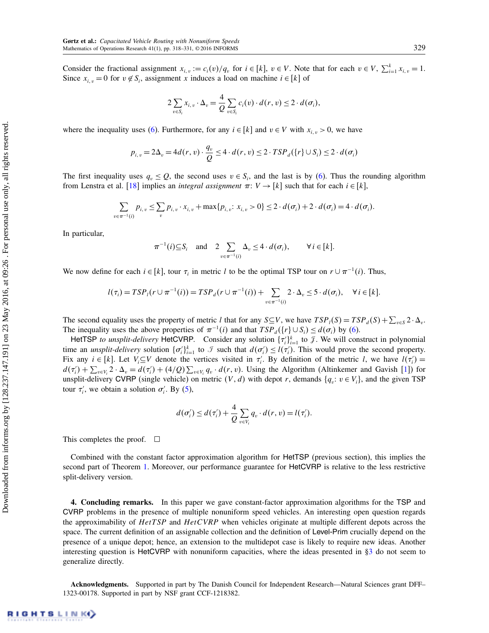Consider the fractional assignment  $x_{i,v} := c_i(v)/q_v$  for  $i \in [k]$ ,  $v \in V$ . Note that for each  $v \in V$ ,  $\sum_{i=1}^{k} x_{i,v} = 1$ . Since  $x_{i, v} = 0$  for  $v \notin S_i$ , assignment x induces a load on machine  $i \in [k]$  of

$$
2\sum_{v\in S_i}x_{i,v}\cdot\Delta_v=\frac{4}{Q}\sum_{v\in S_i}c_i(v)\cdot d(r,v)\leq 2\cdot d(\sigma_i),
$$

where the inequality uses [\(6\)](#page-11-3). Furthermore, for any  $i \in [k]$  and  $v \in V$  with  $x_{i,y} > 0$ , we have

$$
p_{i,v} = 2\Delta_v = 4d(r,v) \cdot \frac{q_v}{Q} \le 4 \cdot d(r,v) \le 2 \cdot TSP_d(\lbrace r \rbrace \cup S_i) \le 2 \cdot d(\sigma_i)
$$

The first inequality uses  $q_v \leq Q$ , the second uses  $v \in S_i$ , and the last is by [\(6\)](#page-11-3). Thus the rounding algorithm from Lenstra et al. [\[18\]](#page-14-8) implies an *integral assignment*  $\pi: V \to [k]$  such that for each  $i \in [k]$ ,

$$
\sum_{v \in \pi^{-1}(i)} p_{i,v} \leq \sum_{v} p_{i,v} \cdot x_{i,v} + \max\{p_{i,v}: x_{i,v} > 0\} \leq 2 \cdot d(\sigma_i) + 2 \cdot d(\sigma_i) = 4 \cdot d(\sigma_i).
$$

In particular,

$$
\pi^{-1}(i) \subseteq S_i
$$
 and  $2 \sum_{v \in \pi^{-1}(i)} \Delta_v \leq 4 \cdot d(\sigma_i)$ ,  $\forall i \in [k]$ .

We now define for each  $i \in [k]$ , tour  $\tau_i$  in metric l to be the optimal TSP tour on  $r \cup \pi^{-1}(i)$ . Thus,

$$
l(\tau_i) = TSP_i(r \cup \pi^{-1}(i)) = TSP_d(r \cup \pi^{-1}(i)) + \sum_{v \in \pi^{-1}(i)} 2 \cdot \Delta_v \leq 5 \cdot d(\sigma_i), \quad \forall i \in [k].
$$

The second equality uses the property of metric l that for any  $S\subseteq V$ , we have  $TSP_l(S) = TSP_d(S) + \sum_{v \in S} 2 \cdot \Delta_v$ . The inequality uses the above properties of  $\pi^{-1}(i)$  and that  $TSP_d(\lbrace r \rbrace \cup S_i) \leq d(\sigma_i)$  by [\(6\)](#page-11-3).

HetTSP to unsplit-delivery HetCVRP. Consider any solution  $\{\tau_i'\}_{i=1}^k$  to  $\mathcal{J}$ . We will construct in polynomial time an *unsplit-delivery* solution  $\{\sigma_i'\}_{i=1}^k$  to  $\mathcal{F}$  such that  $d(\sigma_i') \leq l(\tau_i')$ . This would prove the second property. Fix any  $i \in [k]$ . Let  $V_i \subseteq V$  denote the vertices visited in  $\tau'_i$ . By definition of the metric l, we have  $l(\tau'_i)$  $d(\tau_i') + \sum_{v \in V_i} 2 \cdot \Delta_v = d(\tau_i') + (4/Q) \sum_{v \in V_i} q_v \cdot d(r, v)$ . Using the Algorithm (Altinkemer and Gavish [\[1\]](#page-13-0)) for unsplit-delivery CVRP (single vehicle) on metric  $(V, d)$  with depot r, demands  $\{q_v : v \in V_i\}$ , and the given TSP tour  $\tau'_i$ , we obtain a solution  $\sigma'_i$ . By [\(5\)](#page-11-4),

$$
d(\sigma'_i) \leq d(\tau'_i) + \frac{4}{Q} \sum_{v \in V_i} q_v \cdot d(r, v) = l(\tau'_i).
$$

This completes the proof.  $\Box$ 

Combined with the constant factor approximation algorithm for HetTSP (previous section), this implies the second part of Theorem [1.](#page-3-0) Moreover, our performance guarantee for HetCVRP is relative to the less restrictive split-delivery version.

4. Concluding remarks. In this paper we gave constant-factor approximation algorithms for the TSP and CVRP problems in the presence of multiple nonuniform speed vehicles. An interesting open question regards the approximability of  $HetTSP$  and  $HetCVRP$  when vehicles originate at multiple different depots across the space. The current definition of an assignable collection and the definition of Level-Prim crucially depend on the presence of a unique depot; hence, an extension to the multidepot case is likely to require new ideas. Another interesting question is HetCVRP with nonuniform capacities, where the ideas presented in [§3](#page-11-1) do not seem to generalize directly.

Acknowledgments. Supported in part by The Danish Council for Independent Research—Natural Sciences grant DFF– 1323-00178. Supported in part by NSF grant CCF-1218382.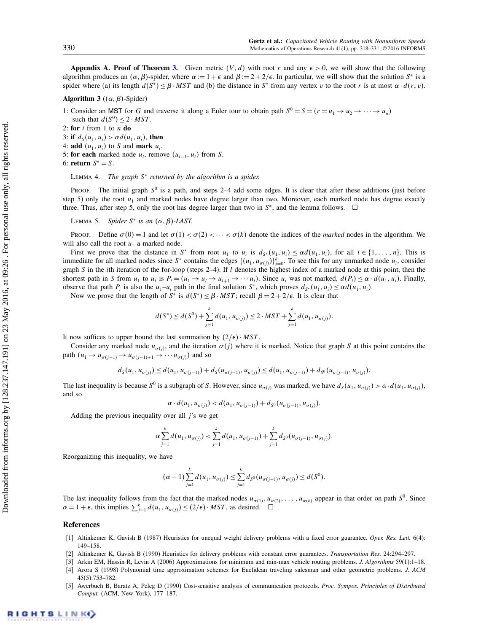Appendix A. Proof of Theorem [3.](#page-7-3) Given metric  $(V, d)$  with root r and any  $\epsilon > 0$ , we will show that the following algorithm produces an  $(\alpha, \beta)$ -spider, where  $\alpha := 1 + \epsilon$  and  $\beta := 2 + 2/\epsilon$ . In particular, we will show that the solution S<sup>\*</sup> is a spider where (a) its length  $d(S^*) \leq \beta \cdot MST$  and (b) the distance in  $S^*$  from any vertex v to the root r is at most  $\alpha \cdot d(r, v)$ .

#### Algorithm 3 ( $(\alpha, \beta)$ -Spider)

1: Consider an MST for G and traverse it along a Euler tour to obtain path  $S^0 = S = (r = u_1 \rightarrow u_2 \rightarrow \cdots \rightarrow u_n)$ such that  $d(S^0) \leq 2 \cdot MST$ .

2: for  $i$  from 1 to  $n$  do

3: if  $d_S(u_1, u_i) > \alpha d(u_1, u_i)$ , then

4: **add**  $(u_1, u_i)$  to S and **mark**  $u_i$ .

5: for each marked node  $u_i$ , remove  $(u_{i-1}, u_i)$  from S.

6: return  $S^* = S$ .

LEMMA 4. The graph  $S^*$  returned by the algorithm is a spider.

PROOF. The initial graph  $S^0$  is a path, and steps 2–4 add some edges. It is clear that after these additions (just before step 5) only the root  $u_1$  and marked nodes have degree larger than two. Moreover, each marked node has degree exactly three. Thus, after step 5, only the root has degree larger than two in  $S^*$ , and the lemma follows.  $\square$ 

LEMMA 5. Spider  $S^*$  is an  $(\alpha, \beta)$ -LAST.

PROOF. Define  $\sigma(0) = 1$  and let  $\sigma(1) < \sigma(2) < \cdots < \sigma(k)$  denote the indices of the *marked* nodes in the algorithm. We will also call the root  $u_1$  a marked node.

First we prove that the distance in S<sup>\*</sup> from root  $u_1$  to  $u_i$  is  $d_{S^*}(u_1, u_i) \leq \alpha d(u_1, u_i)$ , for all  $i \in \{1, ..., n\}$ . This is immediate for all marked nodes since  $S^*$  contains the edges  $\{(u_1, u_{\sigma(j)})\}_{j=0}^k$ . To see this for any unmarked node  $u_i$ , consider graph S in the *i*th iteration of the for-loop (steps 2–4). If  $l$  denotes the highest index of a marked node at this point, then the shortest path in S from  $u_1$  to  $u_i$  is  $P_i = (u_1 \rightarrow u_1 \rightarrow u_{i+1} \rightarrow \cdots u_i)$ . Since  $u_i$  was not marked,  $d(P_i) \leq \alpha \cdot d(u_1, u_i)$ . Finally, observe that path  $P_i$  is also the  $u_1 - u_i$  path in the final solution  $S^*$ , which proves  $d_{S^*}(u_1, u_i) \leq \alpha d(u_1, u_i)$ .

Now we prove that the length of  $S^*$  is  $d(S^*) \leq \beta \cdot MST$ ; recall  $\beta = 2 + 2/\epsilon$ . It is clear that

$$
d(S^*) \leq d(S^0) + \sum_{j=1}^k d(u_1, u_{\sigma(j)}) \leq 2 \cdot MST + \sum_{j=1}^k d(u_1, u_{\sigma(j)}).
$$

It now suffices to upper bound the last summation by  $(2/\epsilon) \cdot MST$ .

Consider any marked node  $u_{\sigma(j)}$ , and the iteration  $\sigma(j)$  where it is marked. Notice that graph S at this point contains the path  $(u_1 \rightarrow u_{\sigma(i-1)} \rightarrow u_{\sigma(i-1)+1} \rightarrow \cdots u_{\sigma(i)})$  and so

$$
d_S(u_1, u_{\sigma(j)}) \leq d(u_1, u_{\sigma(j-1)}) + d_S(u_{\sigma(j-1)}, u_{\sigma(j)}) \leq d(u_1, u_{\sigma(j-1)}) + d_{S^0}(u_{\sigma(j-1)}, u_{\sigma(j)}).
$$

The last inequality is because  $S^0$  is a subgraph of S. However, since  $u_{\sigma(j)}$  was marked, we have  $d_S(u_1, u_{\sigma(j)}) > \alpha \cdot d(u_1, u_{\sigma(j)})$ , and so

$$
\alpha \cdot d(u_1, u_{\sigma(j)}) < d(u_1, u_{\sigma(j-1)}) + d_{S^0}(u_{\sigma(j-1)}, u_{\sigma(j)}).
$$

Adding the previous inequality over all  $i$ 's we get

$$
\alpha \sum_{j=1}^{k} d(u_1, u_{\sigma(j)}) < \sum_{j=1}^{k} d(u_1, u_{\sigma(j-1)}) + \sum_{j=1}^{k} d_{S^0}(u_{\sigma(j-1)}, u_{\sigma(j)}).
$$

Reorganizing this inequality, we have

$$
(\alpha - 1) \sum_{j=1}^{k} d(u_1, u_{\sigma(j)}) \leq \sum_{j=1}^{k} d_{S^0}(u_{\sigma(j-1)}, u_{\sigma(j)}) \leq d(S^0).
$$

The last inequality follows from the fact that the marked nodes  $u_{\sigma(1)}, u_{\sigma(2)}, \ldots, u_{\sigma(k)}$  appear in that order on path  $S^0$ . Since  $\alpha = 1 + \epsilon$ , this implies  $\sum_{j=1}^{k} d(u_1, u_{\sigma(j)}) \leq (2/\epsilon) \cdot MST$ , as desired.  $\Box$ 

#### References

- <span id="page-13-0"></span>[1] Altinkemer K, Gavish B (1987) Heuristics for unequal weight delivery problems with a fixed error guarantee. Oper. Res. Lett. 6(4): 149–158.
- <span id="page-13-1"></span>[2] Altinkemer K, Gavish B (1990) Heuristics for delivery problems with constant error guarantees. Transportation Res. 24:294–297.
- <span id="page-13-3"></span><span id="page-13-2"></span>[3] Arkin EM, Hassin R, Levin A (2006) Approximations for minimum and min-max vehicle routing problems. J. Algorithms 59(1):1–18. [4] Arora S (1998) Polynomial time approximation schemes for Euclidean traveling salesman and other geometric problems. J. ACM 45(5):753–782.
- <span id="page-13-4"></span>[5] Awerbuch B, Baratz A, Peleg D (1990) Cost-sensitive analysis of communication protocols. Proc. Sympos. Principles of Distributed Comput. (ACM, New York), 177–187.